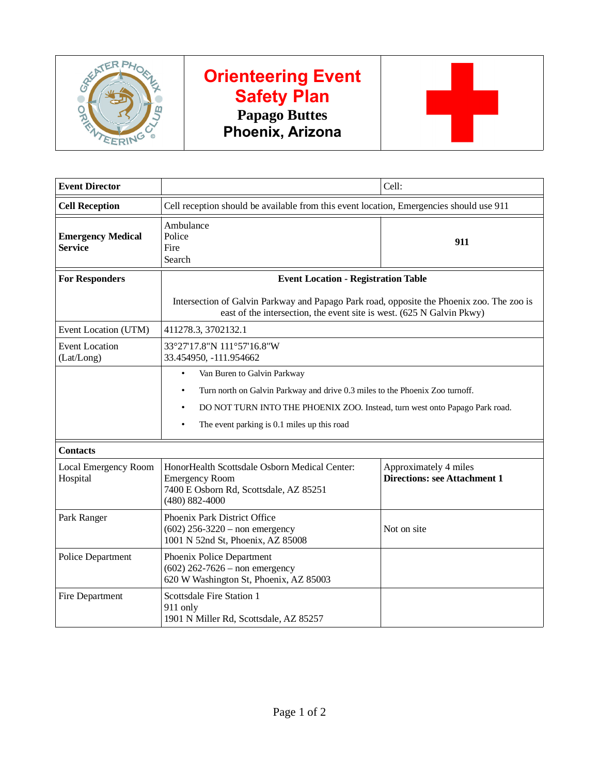

## **Orienteering Event Safety Plan Papago Buttes Phoenix, Arizona**



| <b>Event Director</b>                      |                                                                                                                                                                    | Cell:                                                        |
|--------------------------------------------|--------------------------------------------------------------------------------------------------------------------------------------------------------------------|--------------------------------------------------------------|
| <b>Cell Reception</b>                      | Cell reception should be available from this event location, Emergencies should use 911                                                                            |                                                              |
| <b>Emergency Medical</b><br><b>Service</b> | Ambulance<br>Police<br>Fire<br>Search                                                                                                                              | 911                                                          |
| <b>For Responders</b>                      | <b>Event Location - Registration Table</b>                                                                                                                         |                                                              |
|                                            | Intersection of Galvin Parkway and Papago Park road, opposite the Phoenix zoo. The zoo is<br>east of the intersection, the event site is west. (625 N Galvin Pkwy) |                                                              |
| Event Location (UTM)                       | 411278.3, 3702132.1                                                                                                                                                |                                                              |
| <b>Event Location</b><br>(Lat/Long)        | 33°27'17.8"N 111°57'16.8"W<br>33.454950, -111.954662                                                                                                               |                                                              |
|                                            | Van Buren to Galvin Parkway<br>$\bullet$                                                                                                                           |                                                              |
|                                            | Turn north on Galvin Parkway and drive 0.3 miles to the Phoenix Zoo turnoff.<br>$\bullet$                                                                          |                                                              |
|                                            | DO NOT TURN INTO THE PHOENIX ZOO. Instead, turn west onto Papago Park road.<br>$\bullet$                                                                           |                                                              |
|                                            | The event parking is 0.1 miles up this road                                                                                                                        |                                                              |
| <b>Contacts</b>                            |                                                                                                                                                                    |                                                              |
| Local Emergency Room<br>Hospital           | HonorHealth Scottsdale Osborn Medical Center:<br><b>Emergency Room</b><br>7400 E Osborn Rd, Scottsdale, AZ 85251<br>(480) 882-4000                                 | Approximately 4 miles<br><b>Directions: see Attachment 1</b> |
| Park Ranger                                | Phoenix Park District Office<br>$(602)$ 256-3220 – non emergency<br>1001 N 52nd St, Phoenix, AZ 85008                                                              | Not on site                                                  |
| <b>Police Department</b>                   | Phoenix Police Department<br>$(602)$ 262-7626 – non emergency<br>620 W Washington St, Phoenix, AZ 85003                                                            |                                                              |
| <b>Fire Department</b>                     | <b>Scottsdale Fire Station 1</b><br>911 only<br>1901 N Miller Rd, Scottsdale, AZ 85257                                                                             |                                                              |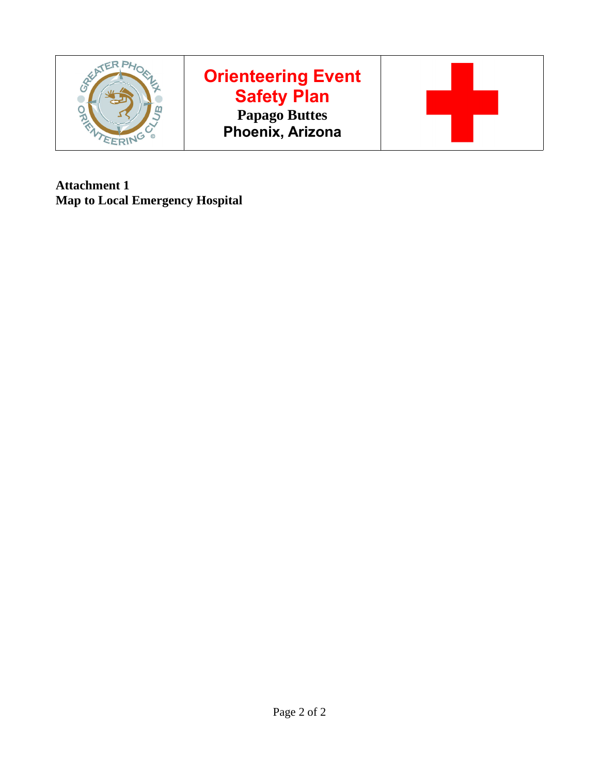

# **Orienteering Event Safety Plan Papago Buttes Phoenix, Arizona**



**Attachment 1 Map to Local Emergency Hospital**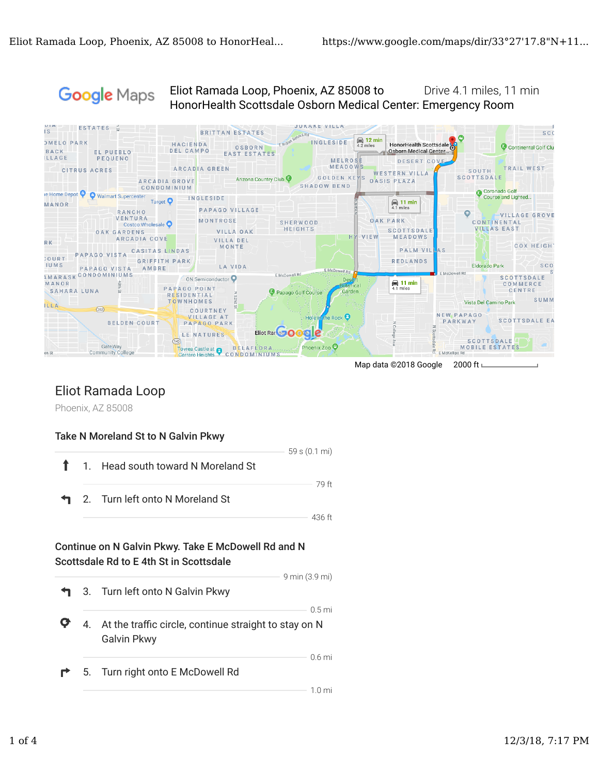Google Maps

Eliot Ramada Loop, Phoenix, AZ 85008 to Drive 4.1 miles, 11 min HonorHealth Scottsdale Osborn Medical Center: Emergency Room



Map data ©2018 Google 2000 ft ∟

### Eliot Ramada Loop

Phoenix, AZ 85008

#### Take N Moreland St to N Galvin Pkwy